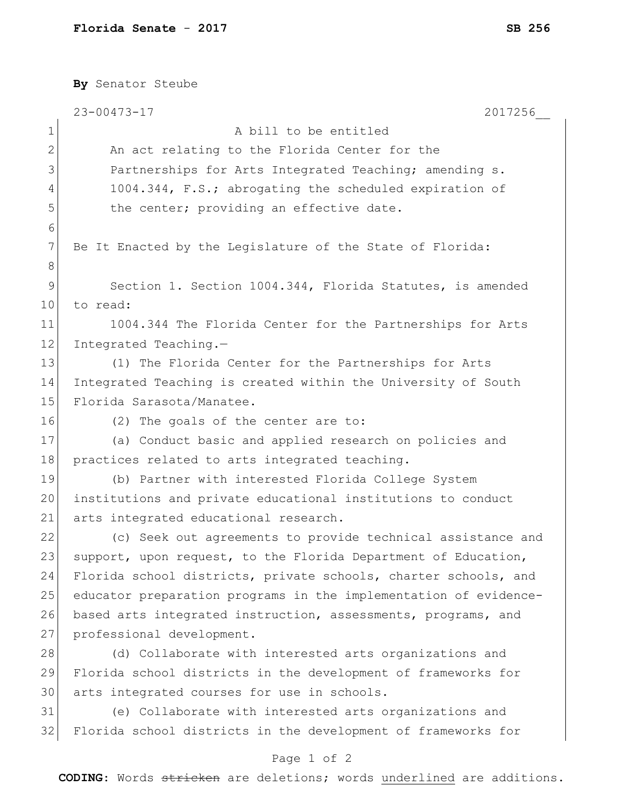|                 | By Senator Steube                                                |
|-----------------|------------------------------------------------------------------|
|                 | $23 - 00473 - 17$<br>2017256                                     |
| $\mathbf 1$     | A bill to be entitled                                            |
| $\mathbf{2}$    | An act relating to the Florida Center for the                    |
| 3               | Partnerships for Arts Integrated Teaching; amending s.           |
| 4               | 1004.344, F.S.; abrogating the scheduled expiration of           |
| 5               | the center; providing an effective date.                         |
| 6               |                                                                  |
| 7               | Be It Enacted by the Legislature of the State of Florida:        |
| 8               |                                                                  |
| $\mathsf 9$     | Section 1. Section 1004.344, Florida Statutes, is amended        |
| 10 <sub>o</sub> | to read:                                                         |
| 11              | 1004.344 The Florida Center for the Partnerships for Arts        |
| 12              | Integrated Teaching.-                                            |
| 13              | (1) The Florida Center for the Partnerships for Arts             |
| 14              | Integrated Teaching is created within the University of South    |
| 15              | Florida Sarasota/Manatee.                                        |
| 16              | (2) The goals of the center are to:                              |
| 17              | (a) Conduct basic and applied research on policies and           |
| 18              | practices related to arts integrated teaching.                   |
| 19              | (b) Partner with interested Florida College System               |
| 20 <sub>o</sub> | institutions and private educational institutions to conduct     |
| 21              | arts integrated educational research.                            |
| 22              | (c) Seek out agreements to provide technical assistance and      |
| 23              | support, upon request, to the Florida Department of Education,   |
| 24              | Florida school districts, private schools, charter schools, and  |
| 25              | educator preparation programs in the implementation of evidence- |
| 26              | based arts integrated instruction, assessments, programs, and    |
| 27              | professional development.                                        |
| 28              | (d) Collaborate with interested arts organizations and           |
| 29              | Florida school districts in the development of frameworks for    |
| 30              | arts integrated courses for use in schools.                      |
| 31              | (e) Collaborate with interested arts organizations and           |
| 32              | Florida school districts in the development of frameworks for    |
|                 |                                                                  |

## Page 1 of 2

**CODING**: Words stricken are deletions; words underlined are additions.